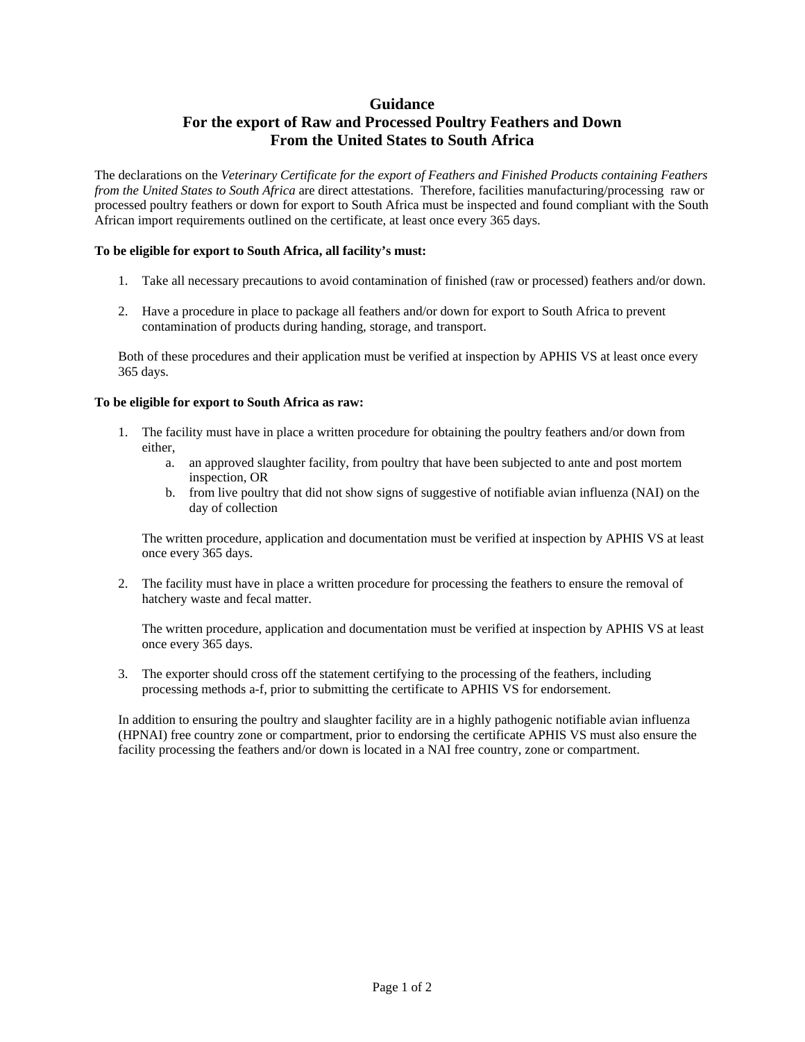## **Guidance**

# **For the export of Raw and Processed Poultry Feathers and Down From the United States to South Africa**

The declarations on the *Veterinary Certificate for the export of Feathers and Finished Products containing Feathers from the United States to South Africa* are direct attestations. Therefore, facilities manufacturing/processing raw or processed poultry feathers or down for export to South Africa must be inspected and found compliant with the South African import requirements outlined on the certificate, at least once every 365 days.

#### **To be eligible for export to South Africa, all facility's must:**

- 1. Take all necessary precautions to avoid contamination of finished (raw or processed) feathers and/or down.
- 2. Have a procedure in place to package all feathers and/or down for export to South Africa to prevent contamination of products during handing, storage, and transport.

Both of these procedures and their application must be verified at inspection by APHIS VS at least once every 365 days.

### **To be eligible for export to South Africa as raw:**

- 1. The facility must have in place a written procedure for obtaining the poultry feathers and/or down from either,
	- a. an approved slaughter facility, from poultry that have been subjected to ante and post mortem inspection, OR
	- b. from live poultry that did not show signs of suggestive of notifiable avian influenza (NAI) on the day of collection

The written procedure, application and documentation must be verified at inspection by APHIS VS at least once every 365 days.

2. The facility must have in place a written procedure for processing the feathers to ensure the removal of hatchery waste and fecal matter.

The written procedure, application and documentation must be verified at inspection by APHIS VS at least once every 365 days.

3. The exporter should cross off the statement certifying to the processing of the feathers, including processing methods a-f, prior to submitting the certificate to APHIS VS for endorsement.

In addition to ensuring the poultry and slaughter facility are in a highly pathogenic notifiable avian influenza (HPNAI) free country zone or compartment, prior to endorsing the certificate APHIS VS must also ensure the facility processing the feathers and/or down is located in a NAI free country, zone or compartment.